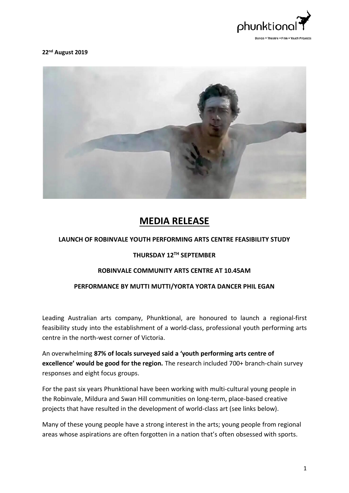

**22 nd August 2019**



# **MEDIA RELEASE**

## **LAUNCH OF ROBINVALE YOUTH PERFORMING ARTS CENTRE FEASIBILITY STUDY**

## **THURSDAY 12TH SEPTEMBER**

#### **ROBINVALE COMMUNITY ARTS CENTRE AT 10.45AM**

### **PERFORMANCE BY MUTTI MUTTI/YORTA YORTA DANCER PHIL EGAN**

Leading Australian arts company, Phunktional, are honoured to launch a regional-first feasibility study into the establishment of a world-class, professional youth performing arts centre in the north-west corner of Victoria.

An overwhelming **87% of locals surveyed said a 'youth performing arts centre of excellence' would be good for the region.** The research included 700+ branch-chain survey responses and eight focus groups.

For the past six years Phunktional have been working with multi-cultural young people in the Robinvale, Mildura and Swan Hill communities on long-term, place-based creative projects that have resulted in the development of world-class art (see links below).

Many of these young people have a strong interest in the arts; young people from regional areas whose aspirations are often forgotten in a nation that's often obsessed with sports.